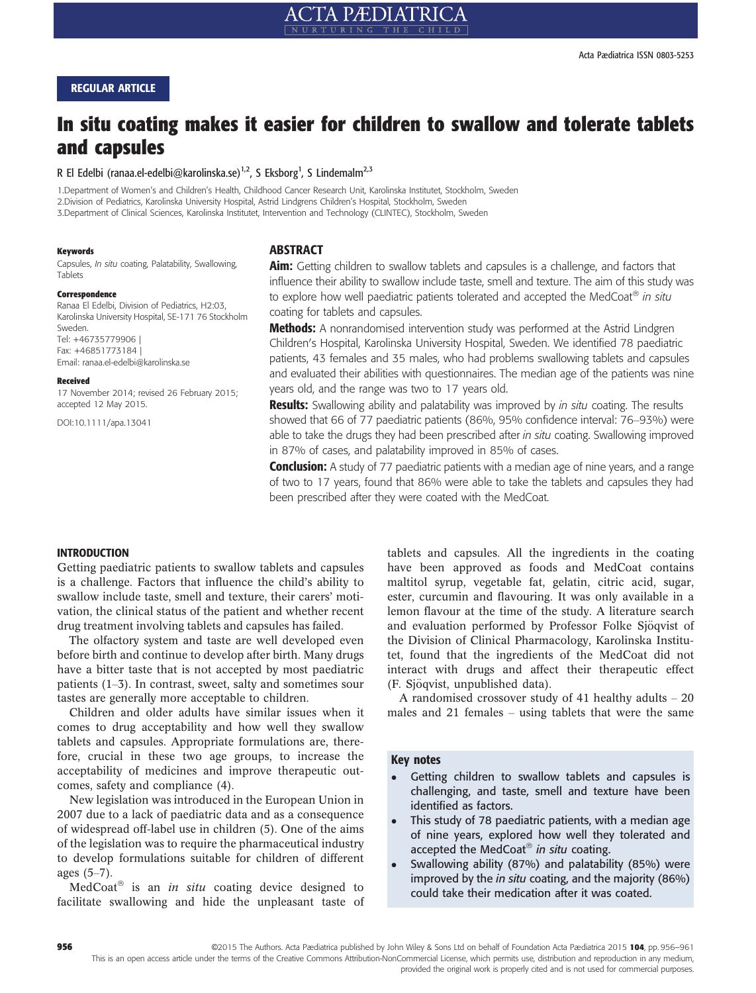# REGULAR ARTICLE

# In situ coating makes it easier for children to swallow and tolerate tablets and capsules

R El Edelbi (ranaa.el-edelbi@karolinska.se)<sup>1,2</sup>, S Eksborg<sup>1</sup>, S Lindemalm<sup>2,3</sup>

1.Department of Women's and Children's Health, Childhood Cancer Research Unit, Karolinska Institutet, Stockholm, Sweden 2.Division of Pediatrics, Karolinska University Hospital, Astrid Lindgrens Children's Hospital, Stockholm, Sweden 3.Department of Clinical Sciences, Karolinska Institutet, Intervention and Technology (CLINTEC), Stockholm, Sweden

#### Keywords

Capsules, In situ coating, Palatability, Swallowing, Tablets

#### Correspondence

Ranaa El Edelbi, Division of Pediatrics, H2:03, Karolinska University Hospital, SE-171 76 Stockholm Sweden. Tel: +46735779906 | Fax: +46851773184

Email: ranaa.el-edelbi@karolinska.se

#### Received

17 November 2014; revised 26 February 2015; accepted 12 May 2015.

DOI:10.1111/apa.13041

# **ABSTRACT**

Aim: Getting children to swallow tablets and capsules is a challenge, and factors that influence their ability to swallow include taste, smell and texture. The aim of this study was to explore how well paediatric patients tolerated and accepted the MedCoat<sup>®</sup> in situ coating for tablets and capsules.

**Methods:** A nonrandomised intervention study was performed at the Astrid Lindgren Children's Hospital, Karolinska University Hospital, Sweden. We identified 78 paediatric patients, 43 females and 35 males, who had problems swallowing tablets and capsules and evaluated their abilities with questionnaires. The median age of the patients was nine years old, and the range was two to 17 years old.

**Results:** Swallowing ability and palatability was improved by in situ coating. The results showed that 66 of 77 paediatric patients (86%, 95% confidence interval: 76–93%) were able to take the drugs they had been prescribed after in situ coating. Swallowing improved in 87% of cases, and palatability improved in 85% of cases.

**Conclusion:** A study of 77 paediatric patients with a median age of nine years, and a range of two to 17 years, found that 86% were able to take the tablets and capsules they had been prescribed after they were coated with the MedCoat.

#### INTRODUCTION

Getting paediatric patients to swallow tablets and capsules is a challenge. Factors that influence the child's ability to swallow include taste, smell and texture, their carers' motivation, the clinical status of the patient and whether recent drug treatment involving tablets and capsules has failed.

The olfactory system and taste are well developed even before birth and continue to develop after birth. Many drugs have a bitter taste that is not accepted by most paediatric patients (1–3). In contrast, sweet, salty and sometimes sour tastes are generally more acceptable to children.

Children and older adults have similar issues when it comes to drug acceptability and how well they swallow tablets and capsules. Appropriate formulations are, therefore, crucial in these two age groups, to increase the acceptability of medicines and improve therapeutic outcomes, safety and compliance (4).

New legislation was introduced in the European Union in 2007 due to a lack of paediatric data and as a consequence of widespread off-label use in children (5). One of the aims of the legislation was to require the pharmaceutical industry to develop formulations suitable for children of different ages (5–7).

MedCoat<sup>®</sup> is an *in situ* coating device designed to facilitate swallowing and hide the unpleasant taste of tablets and capsules. All the ingredients in the coating have been approved as foods and MedCoat contains maltitol syrup, vegetable fat, gelatin, citric acid, sugar, ester, curcumin and flavouring. It was only available in a lemon flavour at the time of the study. A literature search and evaluation performed by Professor Folke Sjöqvist of the Division of Clinical Pharmacology, Karolinska Institutet, found that the ingredients of the MedCoat did not interact with drugs and affect their therapeutic effect (F. Sjöqvist, unpublished data).

A randomised crossover study of 41 healthy adults – 20 males and 21 females – using tablets that were the same

#### Key notes

- - Getting children to swallow tablets and capsules is challenging, and taste, smell and texture have been identified as factors.
- - This study of 78 paediatric patients, with a median age of nine years, explored how well they tolerated and accepted the MedCoat $\mathscr{B}$  in situ coating.
- - Swallowing ability (87%) and palatability (85%) were improved by the in situ coating, and the majority (86%) could take their medication after it was coated.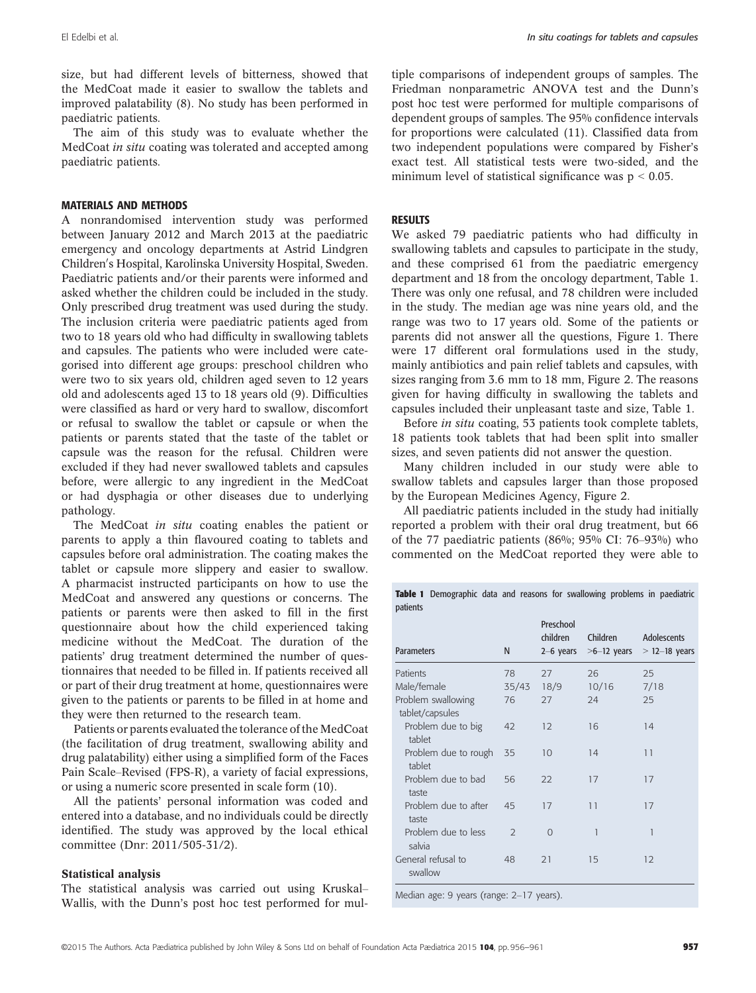size, but had different levels of bitterness, showed that the MedCoat made it easier to swallow the tablets and improved palatability (8). No study has been performed in paediatric patients.

The aim of this study was to evaluate whether the MedCoat *in situ* coating was tolerated and accepted among paediatric patients.

#### MATERIALS AND METHODS

A nonrandomised intervention study was performed between January 2012 and March 2013 at the paediatric emergency and oncology departments at Astrid Lindgren Children's Hospital, Karolinska University Hospital, Sweden. Paediatric patients and/or their parents were informed and asked whether the children could be included in the study. Only prescribed drug treatment was used during the study. The inclusion criteria were paediatric patients aged from two to 18 years old who had difficulty in swallowing tablets and capsules. The patients who were included were categorised into different age groups: preschool children who were two to six years old, children aged seven to 12 years old and adolescents aged 13 to 18 years old (9). Difficulties were classified as hard or very hard to swallow, discomfort or refusal to swallow the tablet or capsule or when the patients or parents stated that the taste of the tablet or capsule was the reason for the refusal. Children were excluded if they had never swallowed tablets and capsules before, were allergic to any ingredient in the MedCoat or had dysphagia or other diseases due to underlying pathology.

The MedCoat in situ coating enables the patient or parents to apply a thin flavoured coating to tablets and capsules before oral administration. The coating makes the tablet or capsule more slippery and easier to swallow. A pharmacist instructed participants on how to use the MedCoat and answered any questions or concerns. The patients or parents were then asked to fill in the first questionnaire about how the child experienced taking medicine without the MedCoat. The duration of the patients' drug treatment determined the number of questionnaires that needed to be filled in. If patients received all or part of their drug treatment at home, questionnaires were given to the patients or parents to be filled in at home and they were then returned to the research team.

Patients or parents evaluated the tolerance of the MedCoat (the facilitation of drug treatment, swallowing ability and drug palatability) either using a simplified form of the Faces Pain Scale–Revised (FPS-R), a variety of facial expressions, or using a numeric score presented in scale form (10).

All the patients' personal information was coded and entered into a database, and no individuals could be directly identified. The study was approved by the local ethical committee (Dnr: 2011/505-31/2).

## Statistical analysis

The statistical analysis was carried out using Kruskal– Wallis, with the Dunn's post hoc test performed for multiple comparisons of independent groups of samples. The Friedman nonparametric ANOVA test and the Dunn's post hoc test were performed for multiple comparisons of dependent groups of samples. The 95% confidence intervals for proportions were calculated (11). Classified data from two independent populations were compared by Fisher's exact test. All statistical tests were two-sided, and the minimum level of statistical significance was  $p < 0.05$ .

## **RESULTS**

We asked 79 paediatric patients who had difficulty in swallowing tablets and capsules to participate in the study, and these comprised 61 from the paediatric emergency department and 18 from the oncology department, Table 1. There was only one refusal, and 78 children were included in the study. The median age was nine years old, and the range was two to 17 years old. Some of the patients or parents did not answer all the questions, Figure 1. There were 17 different oral formulations used in the study, mainly antibiotics and pain relief tablets and capsules, with sizes ranging from 3.6 mm to 18 mm, Figure 2. The reasons given for having difficulty in swallowing the tablets and capsules included their unpleasant taste and size, Table 1.

Before in situ coating, 53 patients took complete tablets, 18 patients took tablets that had been split into smaller sizes, and seven patients did not answer the question.

Many children included in our study were able to swallow tablets and capsules larger than those proposed by the European Medicines Agency, Figure 2.

All paediatric patients included in the study had initially reported a problem with their oral drug treatment, but 66 of the 77 paediatric patients (86%; 95% CI: 76–93%) who commented on the MedCoat reported they were able to

Table 1 Demographic data and reasons for swallowing problems in paediatric patients

| <b>Parameters</b>                     | N             | Preschool<br>children<br>$2-6$ years | Children<br>$>6-12$ years | Adolescents<br>$>$ 12-18 years |
|---------------------------------------|---------------|--------------------------------------|---------------------------|--------------------------------|
| Patients                              | 78            | 27                                   | 26                        | 25                             |
| Male/female                           | 35/43         | 18/9                                 | 10/16                     | 7/18                           |
| Problem swallowing<br>tablet/capsules | 76            | 27                                   | 24                        | 25                             |
| Problem due to big<br>tablet          | 42            | 12                                   | 16                        | 14                             |
| Problem due to rough<br>tablet        | 35            | 10                                   | 14                        | 11                             |
| Problem due to bad<br>taste           | 56            | 22                                   | 17                        | 17                             |
| Problem due to after<br>taste         | 45            | 17                                   | 11                        | 17                             |
| Problem due to less<br>salvia         | $\mathcal{P}$ | $\Omega$                             | 1                         | 1                              |
| General refusal to<br>swallow         | 48            | 21                                   | 15                        | 12                             |
|                                       |               |                                      |                           |                                |

Median age: 9 years (range: 2–17 years).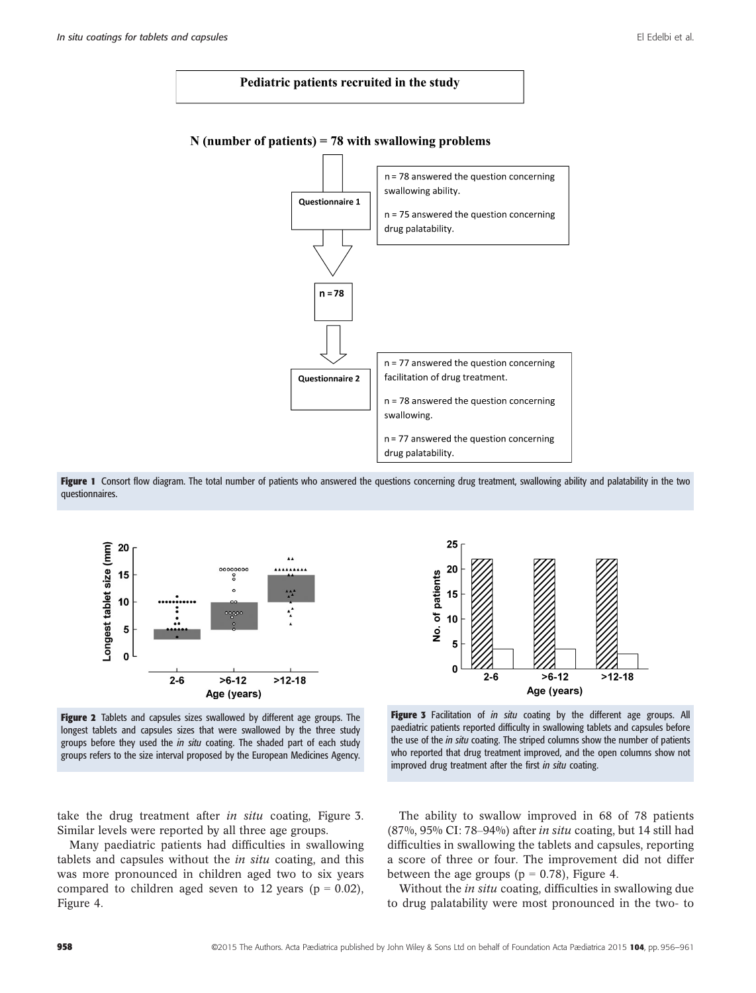



# N (number of patients) = 78 with swallowing problems

Figure 1 Consort flow diagram. The total number of patients who answered the questions concerning drug treatment, swallowing ability and palatability in the two questionnaires.



Figure 2 Tablets and capsules sizes swallowed by different age groups. The longest tablets and capsules sizes that were swallowed by the three study groups before they used the in situ coating. The shaded part of each study groups refers to the size interval proposed by the European Medicines Agency.



Figure 3 Facilitation of in situ coating by the different age groups. All paediatric patients reported difficulty in swallowing tablets and capsules before the use of the *in situ* coating. The striped columns show the number of patients who reported that drug treatment improved, and the open columns show not improved drug treatment after the first in situ coating.

take the drug treatment after *in situ* coating, Figure 3. Similar levels were reported by all three age groups.

Many paediatric patients had difficulties in swallowing tablets and capsules without the in situ coating, and this was more pronounced in children aged two to six years compared to children aged seven to 12 years ( $p = 0.02$ ), Figure 4.

The ability to swallow improved in 68 of 78 patients (87%, 95% CI: 78–94%) after in situ coating, but 14 still had difficulties in swallowing the tablets and capsules, reporting a score of three or four. The improvement did not differ between the age groups ( $p = 0.78$ ), Figure 4.

Without the *in situ* coating, difficulties in swallowing due to drug palatability were most pronounced in the two- to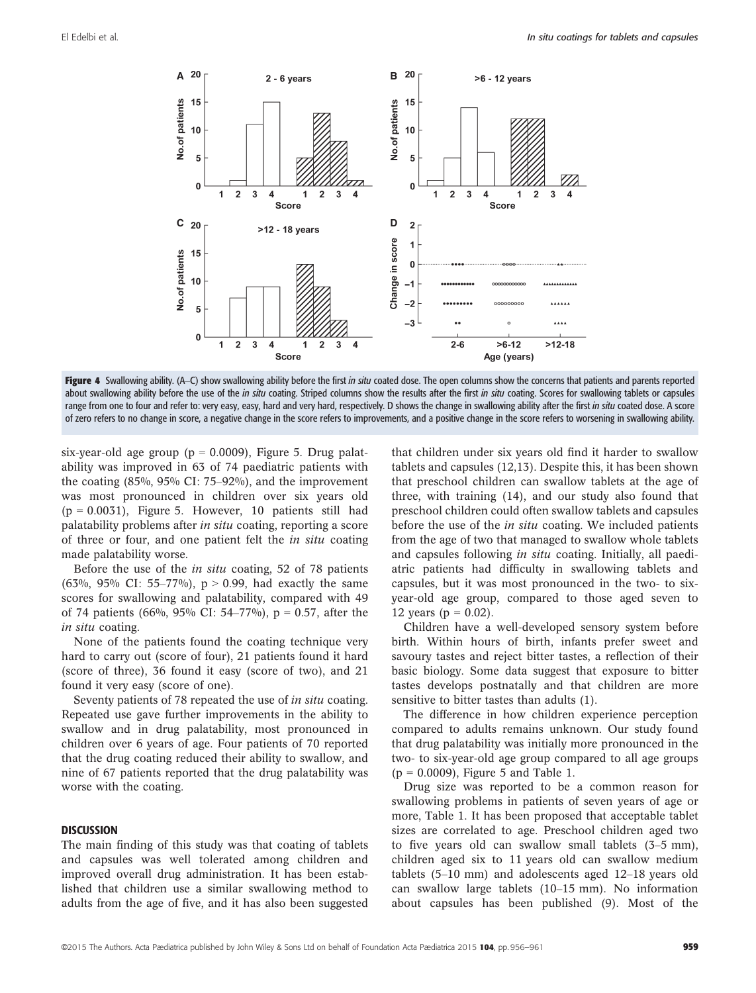

Figure 4 Swallowing ability. (A–C) show swallowing ability before the first in situ coated dose. The open columns show the concerns that patients and parents reported about swallowing ability before the use of the in situ coating. Striped columns show the results after the first in situ coating. Scores for swallowing tablets or capsules range from one to four and refer to: very easy, easy, hard and very hard, respectively. D shows the change in swallowing ability after the first in situ coated dose. A score of zero refers to no change in score, a negative change in the score refers to improvements, and a positive change in the score refers to worsening in swallowing ability.

six-year-old age group ( $p = 0.0009$ ), Figure 5. Drug palatability was improved in 63 of 74 paediatric patients with the coating (85%, 95% CI: 75–92%), and the improvement was most pronounced in children over six years old  $(p = 0.0031)$ , Figure 5. However, 10 patients still had palatability problems after in situ coating, reporting a score of three or four, and one patient felt the in situ coating made palatability worse.

Before the use of the in situ coating, 52 of 78 patients (63%, 95% CI: 55–77%),  $p > 0.99$ , had exactly the same scores for swallowing and palatability, compared with 49 of 74 patients (66%, 95% CI: 54–77%),  $p = 0.57$ , after the in situ coating.

None of the patients found the coating technique very hard to carry out (score of four), 21 patients found it hard (score of three), 36 found it easy (score of two), and 21 found it very easy (score of one).

Seventy patients of 78 repeated the use of in situ coating. Repeated use gave further improvements in the ability to swallow and in drug palatability, most pronounced in children over 6 years of age. Four patients of 70 reported that the drug coating reduced their ability to swallow, and nine of 67 patients reported that the drug palatability was worse with the coating.

#### **DISCUSSION**

The main finding of this study was that coating of tablets and capsules was well tolerated among children and improved overall drug administration. It has been established that children use a similar swallowing method to adults from the age of five, and it has also been suggested that children under six years old find it harder to swallow tablets and capsules (12,13). Despite this, it has been shown that preschool children can swallow tablets at the age of three, with training (14), and our study also found that preschool children could often swallow tablets and capsules before the use of the *in situ* coating. We included patients from the age of two that managed to swallow whole tablets and capsules following *in situ* coating. Initially, all paediatric patients had difficulty in swallowing tablets and capsules, but it was most pronounced in the two- to sixyear-old age group, compared to those aged seven to 12 years ( $p = 0.02$ ).

Children have a well-developed sensory system before birth. Within hours of birth, infants prefer sweet and savoury tastes and reject bitter tastes, a reflection of their basic biology. Some data suggest that exposure to bitter tastes develops postnatally and that children are more sensitive to bitter tastes than adults (1).

The difference in how children experience perception compared to adults remains unknown. Our study found that drug palatability was initially more pronounced in the two- to six-year-old age group compared to all age groups  $(p = 0.0009)$ , Figure 5 and Table 1.

Drug size was reported to be a common reason for swallowing problems in patients of seven years of age or more, Table 1. It has been proposed that acceptable tablet sizes are correlated to age. Preschool children aged two to five years old can swallow small tablets (3–5 mm), children aged six to 11 years old can swallow medium tablets (5–10 mm) and adolescents aged 12–18 years old can swallow large tablets (10–15 mm). No information about capsules has been published (9). Most of the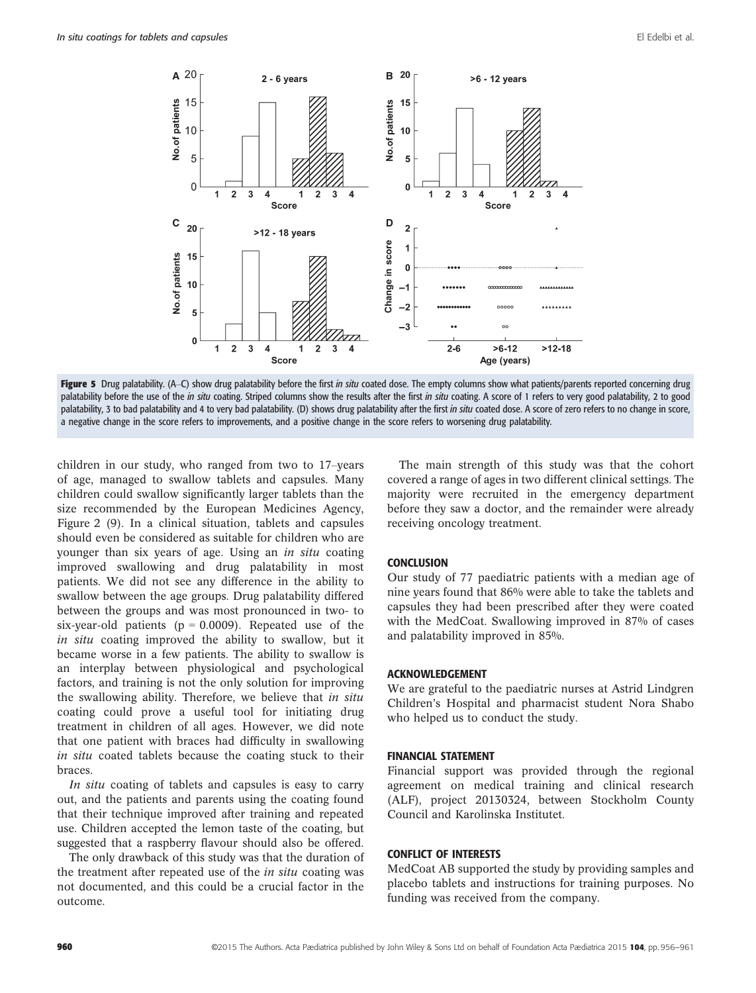

Figure 5 Drug palatability. (A–C) show drug palatability before the first in situ coated dose. The empty columns show what patients/parents reported concerning drug palatability before the use of the in situ coating. Striped columns show the results after the first in situ coating. A score of 1 refers to very good palatability, 2 to good palatability, 3 to bad palatability and 4 to very bad palatability. (D) shows drug palatability after the first in situ coated dose. A score of zero refers to no change in score, a negative change in the score refers to improvements, and a positive change in the score refers to worsening drug palatability.

children in our study, who ranged from two to 17–years of age, managed to swallow tablets and capsules. Many children could swallow significantly larger tablets than the size recommended by the European Medicines Agency, Figure 2 (9). In a clinical situation, tablets and capsules should even be considered as suitable for children who are younger than six years of age. Using an in situ coating improved swallowing and drug palatability in most patients. We did not see any difference in the ability to swallow between the age groups. Drug palatability differed between the groups and was most pronounced in two- to six-year-old patients ( $p = 0.0009$ ). Repeated use of the in situ coating improved the ability to swallow, but it became worse in a few patients. The ability to swallow is an interplay between physiological and psychological factors, and training is not the only solution for improving the swallowing ability. Therefore, we believe that in situ coating could prove a useful tool for initiating drug treatment in children of all ages. However, we did note that one patient with braces had difficulty in swallowing in situ coated tablets because the coating stuck to their braces.

In situ coating of tablets and capsules is easy to carry out, and the patients and parents using the coating found that their technique improved after training and repeated use. Children accepted the lemon taste of the coating, but suggested that a raspberry flavour should also be offered.

The only drawback of this study was that the duration of the treatment after repeated use of the *in situ* coating was not documented, and this could be a crucial factor in the outcome.

The main strength of this study was that the cohort covered a range of ages in two different clinical settings. The majority were recruited in the emergency department before they saw a doctor, and the remainder were already receiving oncology treatment.

#### **CONCLUSION**

Our study of 77 paediatric patients with a median age of nine years found that 86% were able to take the tablets and capsules they had been prescribed after they were coated with the MedCoat. Swallowing improved in 87% of cases and palatability improved in 85%.

## ACKNOWLEDGEMENT

We are grateful to the paediatric nurses at Astrid Lindgren Children's Hospital and pharmacist student Nora Shabo who helped us to conduct the study.

#### FINANCIAL STATEMENT

Financial support was provided through the regional agreement on medical training and clinical research (ALF), project 20130324, between Stockholm County Council and Karolinska Institutet.

#### CONFLICT OF INTERESTS

MedCoat AB supported the study by providing samples and placebo tablets and instructions for training purposes. No funding was received from the company.